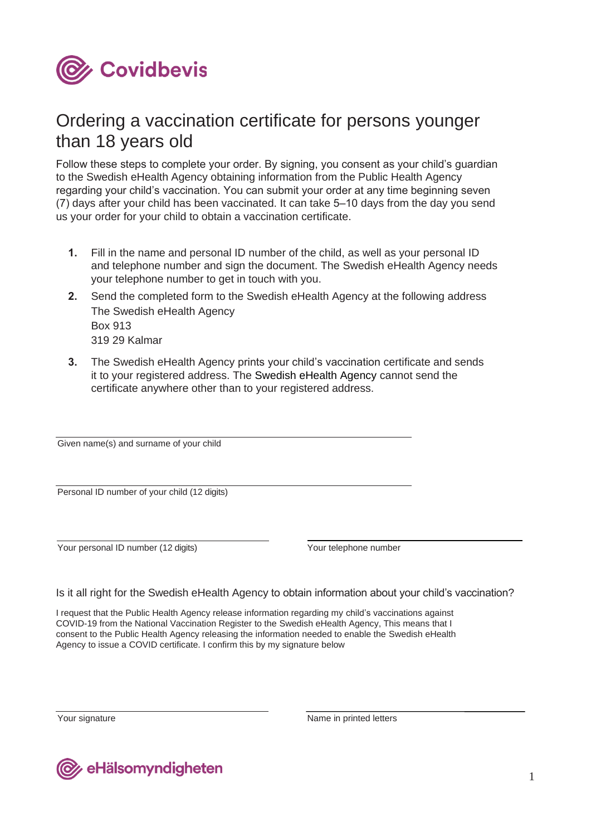

# Ordering a vaccination certificate for persons younger than 18 years old

Follow these steps to complete your order. By signing, you consent as your child's guardian to the Swedish eHealth Agency obtaining information from the Public Health Agency regarding your child's vaccination. You can submit your order at any time beginning seven (7) days after your child has been vaccinated. It can take 5–10 days from the day you send us your order for your child to obtain a vaccination certificate.

- **1.** Fill in the name and personal ID number of the child, as well as your personal ID and telephone number and sign the document. The Swedish eHealth Agency needs your telephone number to get in touch with you.
- **2.** Send the completed form to the Swedish eHealth Agency at the following address The Swedish eHealth Agency Box 913 319 29 Kalmar
- **3.** The Swedish eHealth Agency prints your child's vaccination certificate and sends it to your registered address. The Swedish eHealth Agency cannot send the certificate anywhere other than to your registered address.

Given name(s) and surname of your child

Personal ID number of your child (12 digits)

Your personal ID number (12 digits) Your telephone number

Is it all right for the Swedish eHealth Agency to obtain information about your child's vaccination?

I request that the Public Health Agency release information regarding my child's vaccinations against COVID-19 from the National Vaccination Register to the Swedish eHealth Agency, This means that I consent to the Public Health Agency releasing the information needed to enable the Swedish eHealth Agency to issue a COVID certificate. I confirm this by my signature below

Your signature Name in printed letters

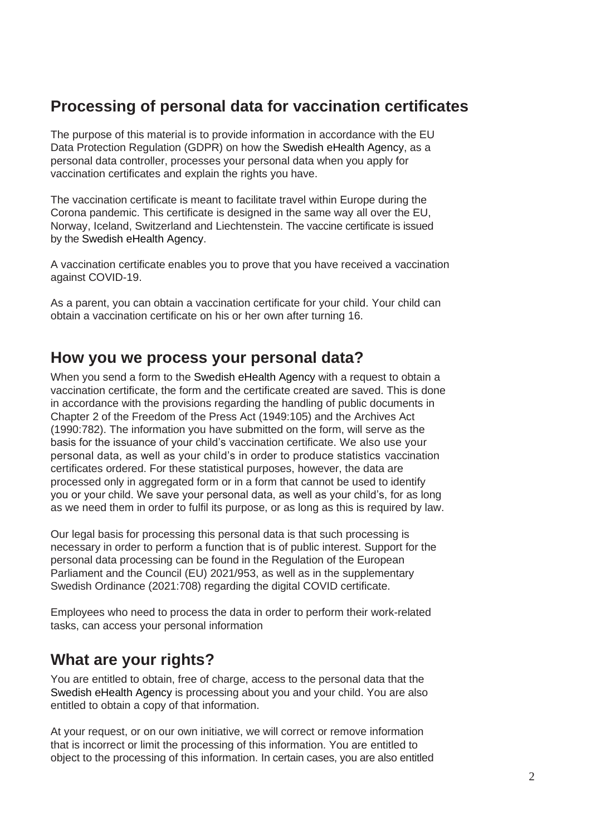## **Processing of personal data for vaccination certificates**

The purpose of this material is to provide information in accordance with the EU Data Protection Regulation (GDPR) on how the Swedish eHealth Agency, as a personal data controller, processes your personal data when you apply for vaccination certificates and explain the rights you have.

The vaccination certificate is meant to facilitate travel within Europe during the Corona pandemic. This certificate is designed in the same way all over the EU, Norway, Iceland, Switzerland and Liechtenstein. The vaccine certificate is issued by the Swedish eHealth Agency.

A vaccination certificate enables you to prove that you have received a vaccination against COVID-19.

As a parent, you can obtain a vaccination certificate for your child. Your child can obtain a vaccination certificate on his or her own after turning 16.

### **How you we process your personal data?**

When you send a form to the Swedish eHealth Agency with a request to obtain a vaccination certificate, the form and the certificate created are saved. This is done in accordance with the provisions regarding the handling of public documents in Chapter 2 of the Freedom of the Press Act (1949:105) and the Archives Act (1990:782). The information you have submitted on the form, will serve as the basis for the issuance of your child's vaccination certificate. We also use your personal data, as well as your child's in order to produce statistics vaccination certificates ordered. For these statistical purposes, however, the data are processed only in aggregated form or in a form that cannot be used to identify you or your child. We save your personal data, as well as your child's, for as long as we need them in order to fulfil its purpose, or as long as this is required by law.

Our legal basis for processing this personal data is that such processing is necessary in order to perform a function that is of public interest. Support for the personal data processing can be found in the Regulation of the European Parliament and the Council (EU) 2021/953, as well as in the supplementary Swedish Ordinance (2021:708) regarding the digital COVID certificate.

Employees who need to process the data in order to perform their work-related tasks, can access your personal information

## **What are your rights?**

You are entitled to obtain, free of charge, access to the personal data that the Swedish eHealth Agency is processing about you and your child. You are also entitled to obtain a copy of that information.

At your request, or on our own initiative, we will correct or remove information that is incorrect or limit the processing of this information. You are entitled to object to the processing of this information. In certain cases, you are also entitled